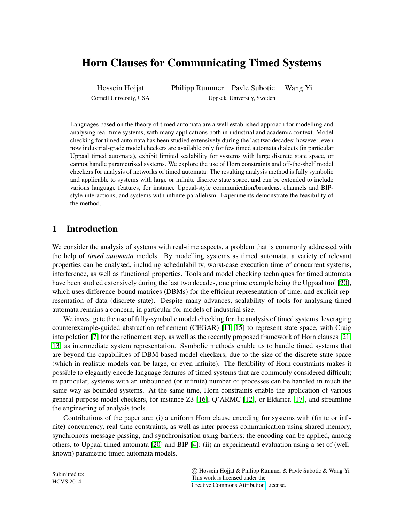# Horn Clauses for Communicating Timed Systems

Hossein Hojjat Cornell University, USA Philipp Rümmer Pavle Subotic Wang Yi Uppsala University, Sweden

Languages based on the theory of timed automata are a well established approach for modelling and analysing real-time systems, with many applications both in industrial and academic context. Model checking for timed automata has been studied extensively during the last two decades; however, even now industrial-grade model checkers are available only for few timed automata dialects (in particular Uppaal timed automata), exhibit limited scalability for systems with large discrete state space, or cannot handle parametrised systems. We explore the use of Horn constraints and off-the-shelf model checkers for analysis of networks of timed automata. The resulting analysis method is fully symbolic and applicable to systems with large or infinite discrete state space, and can be extended to include various language features, for instance Uppaal-style communication/broadcast channels and BIPstyle interactions, and systems with infinite parallelism. Experiments demonstrate the feasibility of the method.

# 1 Introduction

We consider the analysis of systems with real-time aspects, a problem that is commonly addressed with the help of *timed automata* models. By modelling systems as timed automata, a variety of relevant properties can be analysed, including schedulability, worst-case execution time of concurrent systems, interference, as well as functional properties. Tools and model checking techniques for timed automata have been studied extensively during the last two decades, one prime example being the Uppaal tool [\[20\]](#page-13-0), which uses difference-bound matrices (DBMs) for the efficient representation of time, and explicit representation of data (discrete state). Despite many advances, scalability of tools for analysing timed automata remains a concern, in particular for models of industrial size.

We investigate the use of fully-symbolic model checking for the analysis of timed systems, leveraging counterexample-guided abstraction refinement (CEGAR) [\[11,](#page-12-0) [15\]](#page-12-1) to represent state space, with Craig interpolation [\[7\]](#page-12-2) for the refinement step, as well as the recently proposed framework of Horn clauses [\[21,](#page-13-1) [13\]](#page-12-3) as intermediate system representation. Symbolic methods enable us to handle timed systems that are beyond the capabilities of DBM-based model checkers, due to the size of the discrete state space (which in realistic models can be large, or even infinite). The flexibility of Horn constraints makes it possible to elegantly encode language features of timed systems that are commonly considered difficult; in particular, systems with an unbounded (or infinite) number of processes can be handled in much the same way as bounded systems. At the same time, Horn constraints enable the application of various general-purpose model checkers, for instance Z3 [\[16\]](#page-12-4), Q'ARMC [\[12\]](#page-12-5), or Eldarica [\[17\]](#page-12-6), and streamline the engineering of analysis tools.

Contributions of the paper are: (i) a uniform Horn clause encoding for systems with (finite or infinite) concurrency, real-time constraints, as well as inter-process communication using shared memory, synchronous message passing, and synchronisation using barriers; the encoding can be applied, among others, to Uppaal timed automata [\[20\]](#page-13-0) and BIP [\[4\]](#page-12-7); (ii) an experimental evaluation using a set of (wellknown) parametric timed automata models.

| Submitted to:<br><b>HCVS 2014</b> | C Hossein Hojjat & Philipp Rümmer & Pavle Subotic & Wang Yi |  |  |
|-----------------------------------|-------------------------------------------------------------|--|--|
|                                   | This work is licensed under the                             |  |  |
|                                   | Creative Commons Attribution License.                       |  |  |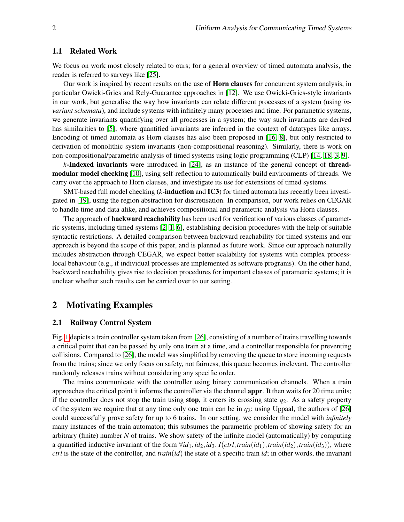### 1.1 Related Work

We focus on work most closely related to ours; for a general overview of timed automata analysis, the reader is referred to surveys like [\[25\]](#page-13-2).

Our work is inspired by recent results on the use of **Horn clauses** for concurrent system analysis, in particular Owicki-Gries and Rely-Guarantee approaches in [\[12\]](#page-12-5). We use Owicki-Gries-style invariants in our work, but generalise the way how invariants can relate different processes of a system (using *invariant schemata*), and include systems with infinitely many processes and time. For parametric systems, we generate invariants quantifying over all processes in a system; the way such invariants are derived has similarities to [\[5\]](#page-12-8), where quantified invariants are inferred in the context of datatypes like arrays. Encoding of timed automata as Horn clauses has also been proposed in [\[16,](#page-12-4) [8\]](#page-12-9), but only restricted to derivation of monolithic system invariants (non-compositional reasoning). Similarly, there is work on non-compositional/parametric analysis of timed systems using logic programming (CLP) [\[14,](#page-12-10) [18,](#page-13-3) [3,](#page-12-11) [9\]](#page-12-12).

*k*-Indexed invariants were introduced in [\[24\]](#page-13-4), as an instance of the general concept of threadmodular model checking [\[10\]](#page-12-13), using self-reflection to automatically build environments of threads. We carry over the approach to Horn clauses, and investigate its use for extensions of timed systems.

SMT-based full model checking (*k*-induction and IC3) for timed automata has recently been investigated in [\[19\]](#page-13-5), using the region abstraction for discretisation. In comparison, our work relies on CEGAR to handle time and data alike, and achieves compositional and parametric analysis via Horn clauses.

The approach of **backward reachability** has been used for verification of various classes of parametric systems, including timed systems [\[2,](#page-12-14) [1,](#page-12-15) [6\]](#page-12-16), establishing decision procedures with the help of suitable syntactic restrictions. A detailed comparison between backward reachability for timed systems and our approach is beyond the scope of this paper, and is planned as future work. Since our approach naturally includes abstraction through CEGAR, we expect better scalability for systems with complex processlocal behaviour (e.g., if individual processes are implemented as software programs). On the other hand, backward reachability gives rise to decision procedures for important classes of parametric systems; it is unclear whether such results can be carried over to our setting.

### 2 Motivating Examples

#### <span id="page-1-0"></span>2.1 Railway Control System

Fig. [1](#page-2-0) depicts a train controller system taken from [\[26\]](#page-13-6), consisting of a number of trains travelling towards a critical point that can be passed by only one train at a time, and a controller responsible for preventing collisions. Compared to [\[26\]](#page-13-6), the model was simplified by removing the queue to store incoming requests from the trains; since we only focus on safety, not fairness, this queue becomes irrelevant. The controller randomly releases trains without considering any specific order.

The trains communicate with the controller using binary communication channels. When a train approaches the critical point it informs the controller via the channel appr. It then waits for 20 time units; if the controller does not stop the train using **stop**, it enters its crossing state  $q_2$ . As a safety property of the system we require that at any time only one train can be in  $q_2$ ; using Uppaal, the authors of [\[26\]](#page-13-6) could successfully prove safety for up to 6 trains. In our setting, we consider the model with *infinitely* many instances of the train automaton; this subsumes the parametric problem of showing safety for an arbitrary (finite) number *N* of trains. We show safety of the infinite model (automatically) by computing a quantified inductive invariant of the form  $\forall id_1, id_2, id_3$ . *I*(*ctrl*,*train*(*id*<sub>1</sub>),*train*(*id*<sub>2</sub>),*train*(*id*<sub>3</sub>)), where *ctrl* is the state of the controller, and *train*(*id*) the state of a specific train *id*; in other words, the invariant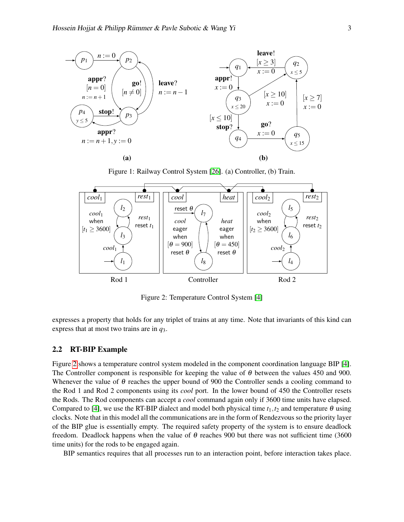

<span id="page-2-0"></span>Figure 1: Railway Control System [\[26\]](#page-13-6). (a) Controller, (b) Train.



<span id="page-2-1"></span>Figure 2: Temperature Control System [\[4\]](#page-12-7)

expresses a property that holds for any triplet of trains at any time. Note that invariants of this kind can express that at most two trains are in *q*3.

#### <span id="page-2-2"></span>2.2 RT-BIP Example

Figure [2](#page-2-1) shows a temperature control system modeled in the component coordination language BIP [\[4\]](#page-12-7). The Controller component is responsible for keeping the value of  $\theta$  between the values 450 and 900. Whenever the value of  $\theta$  reaches the upper bound of 900 the Controller sends a cooling command to the Rod 1 and Rod 2 components using its *cool* port. In the lower bound of 450 the Controller resets the Rods. The Rod components can accept a *cool* command again only if 3600 time units have elapsed. Compared to [\[4\]](#page-12-7), we use the RT-BIP dialect and model both physical time  $t_1, t_2$  and temperature  $\theta$  using clocks. Note that in this model all the communications are in the form of Rendezvous so the priority layer of the BIP glue is essentially empty. The required safety property of the system is to ensure deadlock freedom. Deadlock happens when the value of  $\theta$  reaches 900 but there was not sufficient time (3600) time units) for the rods to be engaged again.

BIP semantics requires that all processes run to an interaction point, before interaction takes place.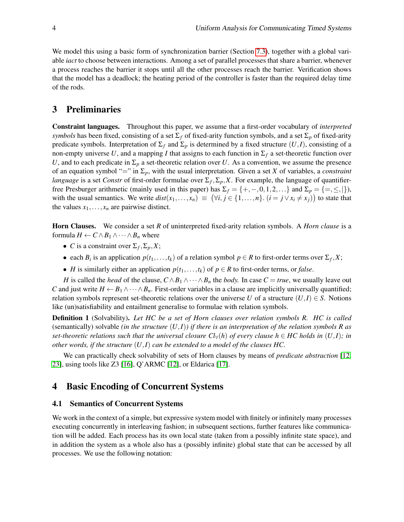We model this using a basic form of synchronization barrier (Section [7.3\)](#page-10-0), together with a global variable *iact* to choose between interactions. Among a set of parallel processes that share a barrier, whenever a process reaches the barrier it stops until all the other processes reach the barrier. Verification shows that the model has a deadlock; the heating period of the controller is faster than the required delay time of the rods.

## 3 Preliminaries

Constraint languages. Throughout this paper, we assume that a first-order vocabulary of *interpreted symbols* has been fixed, consisting of a set  $\Sigma_f$  of fixed-arity function symbols, and a set  $\Sigma_p$  of fixed-arity predicate symbols. Interpretation of  $\Sigma_f$  and  $\Sigma_p$  is determined by a fixed structure  $(U, I)$ , consisting of a non-empty universe U, and a mapping I that assigns to each function in  $\Sigma_f$  a set-theoretic function over *U*, and to each predicate in  $\Sigma_p$  a set-theoretic relation over *U*. As a convention, we assume the presence of an equation symbol "=" in  $\Sigma_p$ , with the usual interpretation. Given a set *X* of variables, a *constraint language* is a set *Constr* of first-order formulae over  $\Sigma_f$ ,  $\Sigma_p$ , X. For example, the language of quantifierfree Presburger arithmetic (mainly used in this paper) has  $\Sigma_f = \{+, -, 0, 1, 2, ...\}$  and  $\Sigma_p = \{=, \leq, |\}$ ), with the usual semantics. We write  $dist(x_1,...,x_n) \equiv (\forall i, j \in \{1,...,n\}$ .  $(i = j \lor x_i \neq x_j)$  to state that the values  $x_1, \ldots, x_n$  are pairwise distinct.

Horn Clauses. We consider a set *R* of uninterpreted fixed-arity relation symbols. A *Horn clause* is a formula  $H \leftarrow C \wedge B_1 \wedge \cdots \wedge B_n$  where

- *C* is a constraint over  $\Sigma_f$ ,  $\Sigma_p$ , *X*;
- each  $B_i$  is an application  $p(t_1,...,t_k)$  of a relation symbol  $p \in R$  to first-order terms over  $\Sigma_f, X;$
- *H* is similarly either an application  $p(t_1,...,t_k)$  of  $p \in R$  to first-order terms, or *false*.

*H* is called the *head* of the clause,  $C \wedge B_1 \wedge \cdots \wedge B_n$  the *body*. In case  $C = true$ , we usually leave out *C* and just write  $H \leftarrow B_1 \wedge \cdots \wedge B_n$ . First-order variables in a clause are implicitly universally quantified; relation symbols represent set-theoretic relations over the universe *U* of a structure  $(U,I) \in S$ . Notions like (un)satisfiability and entailment generalise to formulae with relation symbols.

Definition 1 (Solvability). *Let HC be a set of Horn clauses over relation symbols R. HC is called* (semantically) solvable *(in the structure* (*U*,*I*)*) if there is an interpretation of the relation symbols R as set-theoretic relations such that the universal closure*  $Cl_{\forall}(h)$  *of every clause*  $h \in HC$  *holds in*  $(U,I)$ *; in other words, if the structure* (*U*,*I*) *can be extended to a model of the clauses HC.*

We can practically check solvability of sets of Horn clauses by means of *predicate abstraction* [\[12,](#page-12-5) [23\]](#page-13-7), using tools like Z3 [\[16\]](#page-12-4), Q'ARMC [\[12\]](#page-12-5), or Eldarica [\[17\]](#page-12-6).

# 4 Basic Encoding of Concurrent Systems

#### <span id="page-3-0"></span>4.1 Semantics of Concurrent Systems

We work in the context of a simple, but expressive system model with finitely or infinitely many processes executing concurrently in interleaving fashion; in subsequent sections, further features like communication will be added. Each process has its own local state (taken from a possibly infinite state space), and in addition the system as a whole also has a (possibly infinite) global state that can be accessed by all processes. We use the following notation: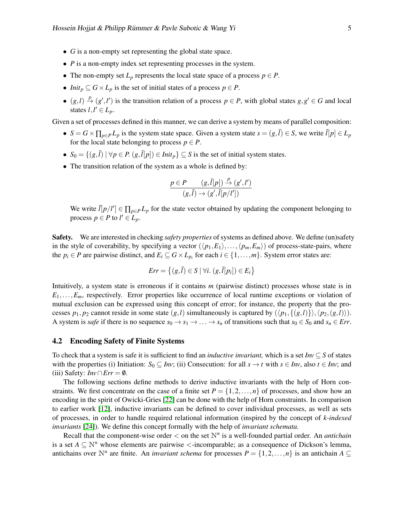- *G* is a non-empty set representing the global state space.
- *P* is a non-empty index set representing processes in the system.
- The non-empty set  $L_p$  represents the local state space of a process  $p \in P$ .
- *Init*<sub>p</sub>  $\subseteq$   $G \times L_p$  is the set of initial states of a process  $p \in P$ .
- $(g, l) \stackrel{p}{\rightarrow} (g', l')$  is the transition relation of a process  $p \in P$ , with global states  $g, g' \in G$  and local states  $l, l' \in L_p$ .

Given a set of processes defined in this manner, we can derive a system by means of parallel composition:

- $S = G \times \prod_{p \in P} L_p$  is the system state space. Given a system state  $s = (g, \bar{l}) \in S$ , we write  $\bar{l}[p] \in L_p$ for the local state belonging to process  $p \in P$ .
- $S_0 = \{(g, \overline{l}) \mid \forall p \in P$ .  $(g, \overline{l}[p]) \in \text{Init}_p\} \subseteq S$  is the set of initial system states.
- The transition relation of the system as a whole is defined by:

$$
\frac{p \in P \qquad (g,\bar{l}[p]) \stackrel{p}{\rightarrow} (g',l')}{(g,\bar{l}) \rightarrow (g',\bar{l}[p/l'])}
$$

We write  $\bar{l}[p/l'] \in \prod_{p \in P} L_p$  for the state vector obtained by updating the component belonging to process  $p \in P$  to  $l' \in L_p$ .

Safety. We are interested in checking *safety properties* of systems as defined above. We define (un)safety in the style of coverability, by specifying a vector  $(\langle p_1, E_1 \rangle, \ldots, \langle p_m, E_m \rangle)$  of process-state-pairs, where the  $p_i \in P$  are pairwise distinct, and  $E_i \subseteq G \times L_{p_i}$  for each  $i \in \{1, \ldots, m\}$ . System error states are:

$$
Err = \left\{ (g, \overline{l}) \in S \mid \forall i. \left( g, \overline{l}[p_i] \right) \in E_i \right\}
$$

Intuitively, a system state is erroneous if it contains *m* (pairwise distinct) processes whose state is in *E*1,...,*Em*, respectively. Error properties like occurrence of local runtime exceptions or violation of mutual exclusion can be expressed using this concept of error; for instance, the property that the processes  $p_1, p_2$  cannot reside in some state  $(g, l)$  simultaneously is captured by  $(\langle p_1, \{(g, l)\}\rangle, \langle p_2, (g, l)\rangle)$ . A system is *safe* if there is no sequence  $s_0 \to s_1 \to \ldots \to s_n$  of transitions such that  $s_0 \in S_0$  and  $s_n \in Err$ .

#### <span id="page-4-0"></span>4.2 Encoding Safety of Finite Systems

To check that a system is safe it is sufficient to find an *inductive invariant,* which is a set *Inv* ⊆ *S* of states with the properties (i) Initiation:  $S_0 \subseteq Inv$ ; (ii) Consecution: for all  $s \to t$  with  $s \in Inv$ , also  $t \in Inv$ ; and (iii) Safety:  $Inv \cap Err = \emptyset$ .

The following sections define methods to derive inductive invariants with the help of Horn constraints. We first concentrate on the case of a finite set  $P = \{1, 2, ..., n\}$  of processes, and show how an encoding in the spirit of Owicki-Gries [\[22\]](#page-13-8) can be done with the help of Horn constraints. In comparison to earlier work [\[12\]](#page-12-5), inductive invariants can be defined to cover individual processes, as well as sets of processes, in order to handle required relational information (inspired by the concept of *k-indexed invariants* [\[24\]](#page-13-4)). We define this concept formally with the help of *invariant schemata.*

Recall that the component-wise order  $\lt$  on the set  $\mathbb{N}^n$  is a well-founded partial order. An *antichain* is a set  $A \subseteq \mathbb{N}^n$  whose elements are pairwise  $\lt$ -incomparable; as a consequence of Dickson's lemma, antichains over N<sup>n</sup> are finite. An *invariant schema* for processes  $P = \{1, 2, ..., n\}$  is an antichain  $A \subseteq$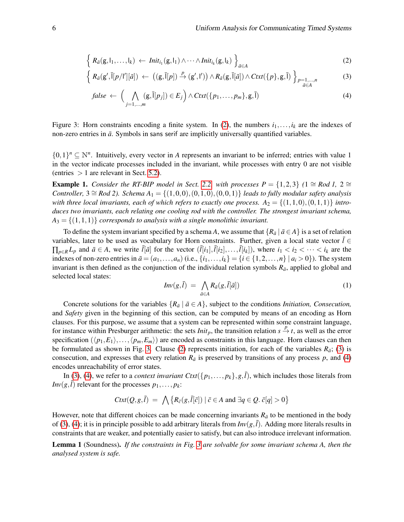$$
\left\{ R_{\bar{a}}(\mathbf{g},\mathbf{l}_1,\ldots,\mathbf{l}_k) \leftarrow \textit{Init}_{i_1}(\mathbf{g},\mathbf{l}_1) \wedge \cdots \wedge \textit{Init}_{i_k}(\mathbf{g},\mathbf{l}_k) \right\}_{\bar{a} \in A}
$$
 (2)

$$
\left\{ R_{\bar{a}}(\mathbf{g}',\bar{\mathbf{l}}[p/\mathbf{l}'][\bar{a}]) \leftarrow ((\mathbf{g},\bar{\mathbf{l}}[p]) \xrightarrow{p} (\mathbf{g}',\mathbf{l}')) \wedge R_{\bar{a}}(\mathbf{g},\bar{\mathbf{l}}[\bar{a}]) \wedge \text{Ctxt}(\{p\},\mathbf{g},\bar{\mathbf{l}}) \right\}_{p=1,\ldots,n} \tag{3}
$$

<span id="page-5-3"></span><span id="page-5-2"></span><span id="page-5-1"></span><span id="page-5-0"></span>
$$
false \leftarrow \left( \bigwedge_{j=1,...,m} (\mathbf{g}, \overline{\mathbf{l}}[p_j]) \in E_j \right) \wedge \text{Ctxt}(\{p_1,...,p_m\}, \mathbf{g}, \overline{\mathbf{l}}) \tag{4}
$$

Figure 3: Horn constraints encoding a finite system. In [\(2\)](#page-5-0), the numbers  $i_1, \ldots, i_k$  are the indexes of non-zero entries in  $\bar{a}$ . Symbols in sans serif are implicitly universally quantified variables.

 ${0,1}^n \subseteq \mathbb{N}^n$ . Intuitively, every vector in *A* represents an invariant to be inferred; entries with value 1 in the vector indicate processes included in the invariant, while processes with entry 0 are not visible (entries  $> 1$  are relevant in Sect. [5.2\)](#page-7-0).

**Example 1.** *Consider the RT-BIP model in Sect.* [2.2,](#page-2-2) *with processes*  $P = \{1,2,3\}$   $(1 \cong \text{Rod } 1, 2 \cong \text{C}$ *Controller,*  $3 \cong \text{Rod } 2$ ). *Schema*  $A_1 = \{(1,0,0), (0,1,0), (0,0,1)\}$  *leads to fully modular safety analysis* with three local invariants, each of which refers to exactly one process.  $A_2 = \{(1,1,0), (0,1,1)\}$  intro*duces two invariants, each relating one cooling rod with the controller. The strongest invariant schema,*  $A_3 = \{(1,1,1)\}$  *corresponds to analysis with a single monolithic invariant.* 

To define the system invariant specified by a schema *A*, we assume that  $\{R_{\bar a} \mid \bar a \in A\}$  is a set of relation variables, later to be used as vocabulary for Horn constraints. Further, given a local state vector  $\bar{l} \in$  $\prod_{p\in R}L_p$  and  $\bar{a}\in A$ , we write  $\bar{l}[\bar{a}]$  for the vector  $(\bar{l}[i_1], \bar{l}[i_2], \ldots, \bar{l}[i_k])$ , where  $i_1 < i_2 < \cdots < i_k$  are the indexes of non-zero entries in  $\bar{a} = (a_1, \ldots, a_n)$  (i.e.,  $\{i_1, \ldots, i_k\} = \{i \in \{1, 2, \ldots, n\} \mid a_i > 0\}$ ). The system invariant is then defined as the conjunction of the individual relation symbols  $R_{\bar{a}}$ , applied to global and selected local states:

$$
Inv(g,\bar{l}) = \bigwedge_{\bar{a}\in A} R_{\bar{a}}(g,\bar{l}[\bar{a}])
$$
\n(1)

Concrete solutions for the variables  $\{R_{\bar{a}} \mid \bar{a} \in A\}$ , subject to the conditions *Initiation, Consecution,* and *Safety* given in the beginning of this section, can be computed by means of an encoding as Horn clauses. For this purpose, we assume that a system can be represented within some constraint language, for instance within Presburger arithmetic: the sets *Init<sub>p</sub>*, the transition relation  $s \stackrel{p}{\to} t$ , as well as the error specification  $(\langle p_1, E_1 \rangle, \ldots, \langle p_m, E_m \rangle)$  are encoded as constraints in this language. Horn clauses can then be formulated as shown in Fig. [3.](#page-5-1) Clause [\(2\)](#page-5-0) represents initiation, for each of the variables  $R_{\bar{a}}$ ; [\(3\)](#page-5-2) is consecution, and expresses that every relation  $R_{\bar{a}}$  is preserved by transitions of any process p, and [\(4\)](#page-5-3) encodes unreachability of error states.

In [\(3\)](#page-5-2), [\(4\)](#page-5-3), we refer to a *context invariant Ctxt*( $\{p_1, \ldots, p_k\}$ ,  $g$ ,  $\bar{l}$ ), which includes those literals from *Inv*( $g$ , $\bar{l}$ ) relevant for the processes  $p_1, \ldots, p_k$ :

$$
Ctxt(Q, g, \bar{l}) = \bigwedge \{ R_{\bar{c}}(g, \bar{l}[\bar{c}]) \mid \bar{c} \in A \text{ and } \exists q \in Q. \ \bar{c}[q] > 0 \}
$$

However, note that different choices can be made concerning invariants  $R_{\bar{a}}$  to be mentioned in the body of [\(3\)](#page-5-2), [\(4\)](#page-5-3); it is in principle possible to add arbitrary literals from  $Inv(g, \bar{l})$ . Adding more literals results in constraints that are weaker, and potentially easier to satisfy, but can also introduce irrelevant information.

Lemma 1 (Soundness). *If the constraints in Fig. [3](#page-5-1) are solvable for some invariant schema A, then the analysed system is safe.*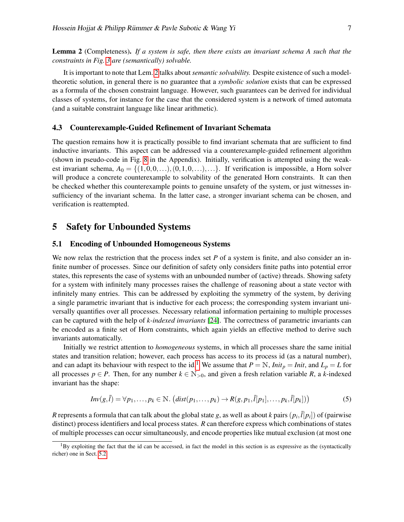<span id="page-6-0"></span>Lemma 2 (Completeness). *If a system is safe, then there exists an invariant schema A such that the constraints in Fig. [3](#page-5-1) are (semantically) solvable.*

It is important to note that Lem. [2](#page-6-0) talks about *semantic solvability.* Despite existence of such a modeltheoretic solution, in general there is no guarantee that a *symbolic solution* exists that can be expressed as a formula of the chosen constraint language. However, such guarantees can be derived for individual classes of systems, for instance for the case that the considered system is a network of timed automata (and a suitable constraint language like linear arithmetic).

### <span id="page-6-3"></span>4.3 Counterexample-Guided Refinement of Invariant Schemata

The question remains how it is practically possible to find invariant schemata that are sufficient to find inductive invariants. This aspect can be addressed via a counterexample-guided refinement algorithm (shown in pseudo-code in Fig. [8](#page-19-0) in the Appendix). Initially, verification is attempted using the weakest invariant schema,  $A_0 = \{(1,0,0,\ldots), (0,1,0,\ldots),\ldots\}$ . If verification is impossible, a Horn solver will produce a concrete counterexample to solvability of the generated Horn constraints. It can then be checked whether this counterexample points to genuine unsafety of the system, or just witnesses insufficiency of the invariant schema. In the latter case, a stronger invariant schema can be chosen, and verification is reattempted.

### 5 Safety for Unbounded Systems

### <span id="page-6-2"></span>5.1 Encoding of Unbounded Homogeneous Systems

We now relax the restriction that the process index set *P* of a system is finite, and also consider an infinite number of processes. Since our definition of safety only considers finite paths into potential error states, this represents the case of systems with an unbounded number of (active) threads. Showing safety for a system with infinitely many processes raises the challenge of reasoning about a state vector with infinitely many entries. This can be addressed by exploiting the symmetry of the system, by deriving a single parametric invariant that is inductive for each process; the corresponding system invariant universally quantifies over all processes. Necessary relational information pertaining to multiple processes can be captured with the help of *k-indexed invariants* [\[24\]](#page-13-4). The correctness of parametric invariants can be encoded as a finite set of Horn constraints, which again yields an effective method to derive such invariants automatically.

Initially we restrict attention to *homogeneous* systems, in which all processes share the same initial states and transition relation; however, each process has access to its process id (as a natural number), and can adapt its behaviour with respect to the id.<sup>[1](#page-6-1)</sup> We assume that  $P = N$ , *Init<sub>p</sub>* = *Init*, and  $L_p = L$  for all processes  $p \in P$ . Then, for any number  $k \in \mathbb{N}_{>0}$ , and given a fresh relation variable *R*, a *k*-indexed invariant has the shape:

$$
Inv(g,\overline{l}) = \forall p_1,\ldots,p_k \in \mathbb{N}. (dist(p_1,\ldots,p_k) \to R(g,p_1,\overline{l}[p_1],\ldots,p_k,\overline{l}[p_k])) \tag{5}
$$

*R* represents a formula that can talk about the global state *g*, as well as about *k* pairs  $(p_i, \bar{l}[p_i])$  of (pairwise distinct) process identifiers and local process states. *R* can therefore express which combinations of states of multiple processes can occur simultaneously, and encode properties like mutual exclusion (at most one

<span id="page-6-1"></span> ${}^{1}$ By exploiting the fact that the id can be accessed, in fact the model in this section is as expressive as the (syntactically richer) one in Sect. [5.2.](#page-7-0)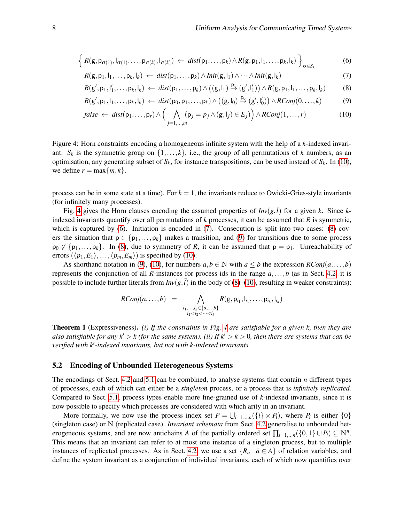$$
\left\{ R(\mathbf{g}, \mathbf{p}_{\sigma(1)}, \mathbf{I}_{\sigma(1)}, \dots, \mathbf{p}_{\sigma(k)}, \mathbf{I}_{\sigma(k)}) \leftarrow \text{dist}(\mathbf{p}_1, \dots, \mathbf{p}_k) \land R(\mathbf{g}, \mathbf{p}_1, \mathbf{I}_1, \dots, \mathbf{p}_k, \mathbf{I}_k) \right\}_{\sigma \in S_k}
$$
(6)

<span id="page-7-4"></span><span id="page-7-3"></span>
$$
R(g, p_1, l_1, \ldots, p_k, l_k) \leftarrow \text{dist}(p_1, \ldots, p_k) \land \text{Init}(g, l_1) \land \cdots \land \text{Init}(g, l_k)
$$
\n
$$
\tag{7}
$$

<span id="page-7-5"></span>
$$
R(g',p_1,l'_1,\ldots,p_k,l_k) \leftarrow dist(p_1,\ldots,p_k) \wedge \left( (g,l_1) \stackrel{p_1}{\rightarrow} (g',l'_1) \right) \wedge R(g,p_1,l_1,\ldots,p_k,l_k) \tag{8}
$$

$$
R(g',p_1,l_1,\ldots,p_k,l_k) \leftarrow \text{dist}(p_0,p_1,\ldots,p_k) \wedge \left( (g,l_0) \stackrel{p_0}{\rightarrow} (g',l'_0) \right) \wedge \text{RConj}(0,\ldots,k) \tag{9}
$$

<span id="page-7-6"></span><span id="page-7-2"></span><span id="page-7-1"></span>
$$
false \leftarrow dist(p_1,...,p_r) \land \left(\bigwedge_{j=1,...,m} (p_j = p_j \land (g, l_j) \in E_j)\right) \land RConj(1,...,r)
$$
\n(10)

Figure 4: Horn constraints encoding a homogeneous infinite system with the help of a *k*-indexed invariant.  $S_k$  is the symmetric group on  $\{1,\ldots,k\}$ , i.e., the group of all permutations of *k* numbers; as an optimisation, any generating subset of  $S_k$ , for instance transpositions, can be used instead of  $S_k$ . In [\(10\)](#page-7-1), we define  $r = \max\{m, k\}.$ 

process can be in some state at a time). For  $k = 1$ , the invariants reduce to Owicki-Gries-style invariants (for infinitely many processes).

Fig. [4](#page-7-2) gives the Horn clauses encoding the assumed properties of  $Inv(g, \overline{l})$  for a given *k*. Since *k*indexed invariants quantify over all permutations of *k* processes, it can be assumed that *R* is symmetric, which is captured by [\(6\)](#page-7-3). Initiation is encoded in [\(7\)](#page-7-4). Consecution is split into two cases: [\(8\)](#page-7-5) covers the situation that  $p \in \{p_1, \ldots, p_k\}$  makes a transition, and [\(9\)](#page-7-6) for transitions due to some process  $p_0 \notin \{p_1,\ldots,p_k\}$ . In [\(8\)](#page-7-5), due to symmetry of *R*, it can be assumed that  $p = p_1$ . Unreachability of errors  $(\langle p_1, E_1 \rangle, \ldots, \langle p_m, E_m \rangle)$  is specified by [\(10\)](#page-7-1).

As shorthand notation in [\(9\)](#page-7-6), [\(10\)](#page-7-1), for numbers  $a, b \in \mathbb{N}$  with  $a \leq b$  the expression *RConj*( $a, \ldots, b$ ) represents the conjunction of all *R*-instances for process ids in the range  $a, \ldots, b$  (as in Sect. [4.2,](#page-4-0) it is possible to include further literals from  $Inv(g, \bar{l})$  in the body of [\(8\)](#page-7-5)–[\(10\)](#page-7-1), resulting in weaker constraints):

$$
RConj(a, ..., b) = \bigwedge_{\substack{i_1, ..., i_k \in \{a, ..., b\} \\ i_1 < i_2 < \cdots < i_k}} R(g, p_{i_1}, l_{i_1}, ..., p_{i_k}, l_{i_k})
$$

<span id="page-7-7"></span>Theorem 1 (Expressiveness). *(i) If the constraints in Fig. [4](#page-7-2) are satisfiable for a given k, then they are also satisfiable for any k'*  $> k$  (for the same system). (ii) If  $k' > k > 0$ , then there are systems that can be *verified with k'-indexed invariants, but not with k-indexed invariants.* 

#### <span id="page-7-0"></span>5.2 Encoding of Unbounded Heterogeneous Systems

The encodings of Sect. [4.2](#page-4-0) and [5.1](#page-6-2) can be combined, to analyse systems that contain *n* different types of processes, each of which can either be a *singleton* process, or a process that is *infinitely replicated.* Compared to Sect. [5.1,](#page-6-2) process types enable more fine-grained use of *k*-indexed invariants, since it is now possible to specify which processes are considered with which arity in an invariant.

More formally, we now use the process index set  $P = \bigcup_{i=1,\dots,n} (\{i\} \times P_i)$ , where  $P_i$  is either  $\{0\}$ (singleton case) or N (replicated case). *Invariant schemata* from Sect. [4.2](#page-4-0) generalise to unbounded heterogeneous systems, and are now antichains *A* of the partially ordered set  $\prod_{i=1,...n} (\{0,1\} \cup P_i) \subseteq \mathbb{N}^n$ . This means that an invariant can refer to at most one instance of a singleton process, but to multiple instances of replicated processes. As in Sect. [4.2,](#page-4-0) we use a set  $\{R_{\bar{a}} \mid \bar{a} \in A\}$  of relation variables, and define the system invariant as a conjunction of individual invariants, each of which now quantifies over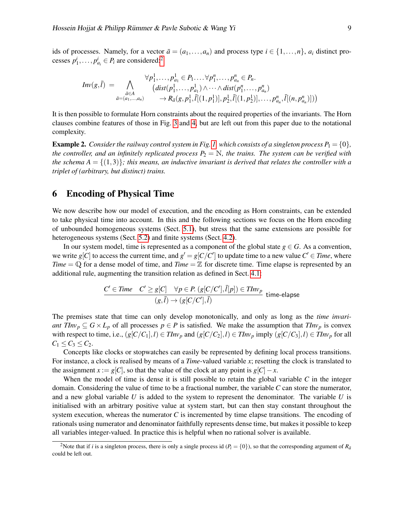ids of processes. Namely, for a vector  $\bar{a} = (a_1, \ldots, a_n)$  and process type  $i \in \{1, \ldots, n\}$ ,  $a_i$  distinct processes  $p_1^i, \ldots, p_{a_i}^i \in P_i$  are considered:<sup>[2](#page-8-0)</sup>

$$
Inv(g,\overline{l}) = \bigwedge_{\substack{\overline{a} \in A \\ \overline{a} = (a_1,...,a_n)}} \forall p_1^1,...,p_{a_1}^1 \in P_1... \forall p_1^n,...,p_{a_n}^n \in P_n.
$$
  
\n
$$
(dist(p_1^1,...,p_{a_1}^1) \land \cdots \land dist(p_1^n,...,p_{a_n}^n))
$$
  
\n
$$
\rightarrow R_{\overline{a}}(g, p_1^1, \overline{l}[(1,p_1^1)], p_2^1, \overline{l}[(1,p_2^1)],..., p_{a_n}^n, \overline{l}[(n,p_{a_n}^n)])
$$

It is then possible to formulate Horn constraints about the required properties of the invariants. The Horn clauses combine features of those in Fig. [3](#page-5-1) and [4,](#page-7-2) but are left out from this paper due to the notational complexity.

**Example 2.** *Consider the railway control system in Fig. [1,](#page-2-0) which consists of a singleton process*  $P_1 = \{0\}$ , *the controller, and an infinitely replicated process*  $P_2 = N$ *, the trains. The system can be verified with the schema A* = { $(1,3)$ }; this means, an inductive invariant is derived that relates the controller with a *triplet of (arbitrary, but distinct) trains.*

### 6 Encoding of Physical Time

We now describe how our model of execution, and the encoding as Horn constraints, can be extended to take physical time into account. In this and the following sections we focus on the Horn encoding of unbounded homogeneous systems (Sect. [5.1\)](#page-6-2), but stress that the same extensions are possible for heterogeneous systems (Sect. [5.2\)](#page-7-0) and finite systems (Sect. [4.2\)](#page-4-0).

In our system model, time is represented as a component of the global state  $g \in G$ . As a convention, we write  $g[C]$  to access the current time, and  $g' = g[C/C']$  to update time to a new value  $C' \in Time$ , where *Time* =  $\mathbb Q$  for a dense model of time, and *Time* =  $\mathbb Z$  for discrete time. Time elapse is represented by an additional rule, augmenting the transition relation as defined in Sect. [4.1:](#page-3-0)

$$
\frac{C' \in \text{Time} \quad C' \ge g[C] \quad \forall p \in P. \ (g[C/C'], \bar{l}[p]) \in \text{TIME} \text{ time-elapse}}{(g, \bar{l}) \rightarrow (g[C/C'], \bar{l})}
$$

The premises state that time can only develop monotonically, and only as long as the *time invariant TInv*<sub>*p*</sub>  $\subseteq$  *G*  $\times$  *L*<sub>*p*</sub> of all processes *p*  $\in$  *P* is satisfied. We make the assumption that *TInv*<sub>*p*</sub> is convex with respect to time, i.e.,  $(g[C/C_1], l) \in \text{Thv}_p$  and  $(g[C/C_2], l) \in \text{Thv}_p$  imply  $(g[C/C_3], l) \in \text{Thv}_p$  for all  $C_1 \leq C_3 \leq C_2$ .

Concepts like clocks or stopwatches can easily be represented by defining local process transitions. For instance, a clock is realised by means of a *Time*-valued variable *x*; resetting the clock is translated to the assignment  $x := g[C]$ , so that the value of the clock at any point is  $g[C] - x$ .

When the model of time is dense it is still possible to retain the global variable *C* in the integer domain. Considering the value of time to be a fractional number, the variable *C* can store the numerator, and a new global variable *U* is added to the system to represent the denominator. The variable *U* is initialised with an arbitrary positive value at system start, but can then stay constant throughout the system execution, whereas the numerator  $C$  is incremented by time elapse transitions. The encoding of rationals using numerator and denominator faithfully represents dense time, but makes it possible to keep all variables integer-valued. In practice this is helpful when no rational solver is available.

<span id="page-8-0"></span><sup>&</sup>lt;sup>2</sup>Note that if *i* is a singleton process, there is only a single process id ( $P_i = \{0\}$ ), so that the corresponding argument of  $R_{\bar{a}}$ could be left out.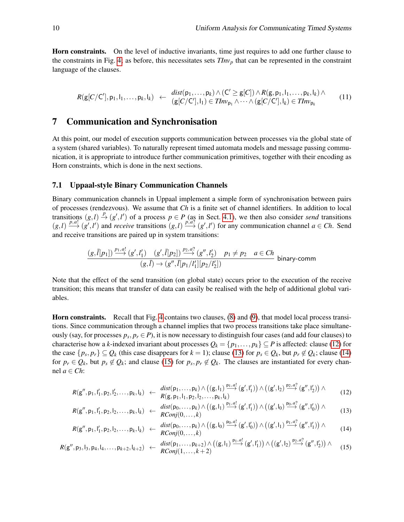Horn constraints. On the level of inductive invariants, time just requires to add one further clause to the constraints in Fig. [4;](#page-7-2) as before, this necessitates sets  $TInv<sub>p</sub>$  that can be represented in the constraint language of the clauses.

$$
R(g[C/C'], p_1, l_1, \ldots, p_k, l_k) \leftarrow \begin{array}{c} dist(p_1, \ldots, p_k) \wedge (C' \geq g[C]) \wedge R(g, p_1, l_1, \ldots, p_k, l_k) \wedge \\ (g[C/C'], l_1) \in \text{Thv}_{p_1} \wedge \cdots \wedge (g[C/C'], l_k) \in \text{Thv}_{p_k} \end{array} (11)
$$

# 7 Communication and Synchronisation

At this point, our model of execution supports communication between processes via the global state of a system (shared variables). To naturally represent timed automata models and message passing communication, it is appropriate to introduce further communication primitives, together with their encoding as Horn constraints, which is done in the next sections.

#### 7.1 Uppaal-style Binary Communication Channels

Binary communication channels in Uppaal implement a simple form of synchronisation between pairs of processes (rendezvous). We assume that *Ch* is a finite set of channel identifiers. In addition to local transitions  $(g, l) \stackrel{p}{\to} (g', l')$  of a process  $p \in P$  (as in Sect. [4.1\)](#page-3-0), we then also consider *send* transitions  $(g, l) \xrightarrow{p, a!} (g', l')$  and *receive* transitions  $(g, l) \xrightarrow{p, a?} (g', l')$  for any communication channel  $a \in Ch$ . Send and receive transitions are paired up in system transitions:

$$
\frac{(g,\overline{l}[p_1]) \xrightarrow{p_1,a!} (g',l'_1) \quad (g',\overline{l}[p_2]) \xrightarrow{p_2,a^2} (g'',l'_2) \quad p_1 \neq p_2 \quad a \in Ch}{(g,\overline{l}) \rightarrow (g'',\overline{l}[p_1/l'_1][p_2/l'_2])}
$$
 binary-comm

Note that the effect of the send transition (on global state) occurs prior to the execution of the receive transition; this means that transfer of data can easily be realised with the help of additional global variables.

Horn constraints. Recall that Fig. [4](#page-7-2) contains two clauses, [\(8\)](#page-7-5) and [\(9\)](#page-7-6), that model local process transitions. Since communication through a channel implies that two process transitions take place simultaneously (say, for processes  $p_s, p_r \in P$ ), it is now necessary to distinguish four cases (and add four clauses) to characterise how a *k*-indexed invariant about processes  $Q_k = \{p_1, \ldots, p_k\} \subseteq P$  is affected: clause [\(12\)](#page-9-0) for the case  $\{p_s, p_r\} \subseteq Q_k$  (this case disappears for  $k = 1$ ); clause [\(13\)](#page-9-1) for  $p_s \in Q_k$ , but  $p_r \notin Q_k$ ; clause [\(14\)](#page-9-2) for  $p_r \in Q_k$ , but  $p_s \notin Q_k$ ; and clause [\(15\)](#page-9-3) for  $p_s, p_r \notin Q_k$ . The clauses are instantiated for every channel  $a \in Ch$ :

<span id="page-9-1"></span><span id="page-9-0"></span>
$$
R(g'',p_1, l'_1, p_2, l'_2, \ldots, p_k, l_k) \leftarrow \frac{dist(p_1, \ldots, p_k) \wedge ((g, l_1) \xrightarrow{p_1, a!} (g', l'_1)) \wedge ((g', l_2) \xrightarrow{p_2, a?} (g'', l'_2)) \wedge R(g, p_1, l_1, p_2, l_2, \ldots, p_k, l_k)
$$
\n(12)

<span id="page-9-3"></span><span id="page-9-2"></span>
$$
R(g'',p_1,l'_1,p_2,l_2,\ldots,p_k,l_k) \leftarrow \frac{dist(p_0,\ldots,p_k) \wedge \left((g,l_1)\stackrel{p_1,a!}{\longrightarrow}(g',l'_1)\right) \wedge \left((g',l_0)\stackrel{p_0,a?}{\longrightarrow}(g'',l'_0)\right) \wedge \\ \qquad (13)
$$

$$
R(g'',p_1,l'_1,p_2,l_2,\ldots,p_k,l_k) \leftarrow \frac{dist(p_0,\ldots,p_k) \wedge \left((g,l_0) \stackrel{p_0,a!}{\longrightarrow} (g',l'_0)\right) \wedge \left((g',l_1) \stackrel{p_1,a?}{\longrightarrow} (g'',l'_1)\right) \wedge \qquad (14)
$$

$$
R(g'',p_3,l_3,p_4,l_4,\ldots,p_{k+2},l_{k+2}) \leftarrow \frac{dist(p_1,\ldots,p_{k+2}) \wedge \left((g,l_1)\stackrel{p_1,a!}{\longrightarrow}(g',l'_1)\right) \wedge \left((g',l_2)\stackrel{p_2,a?}{\longrightarrow}(g'',l'_2)\right) \wedge \qquad (15)
$$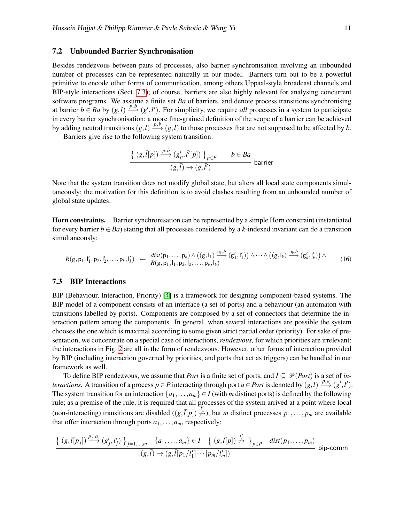#### <span id="page-10-1"></span>7.2 Unbounded Barrier Synchronisation

Besides rendezvous between pairs of processes, also barrier synchronisation involving an unbounded number of processes can be represented naturally in our model. Barriers turn out to be a powerful primitive to encode other forms of communication, among others Uppaal-style broadcast channels and BIP-style interactions (Sect. [7.3\)](#page-10-0); of course, barriers are also highly relevant for analysing concurrent software programs. We assume a finite set *Ba* of barriers, and denote process transitions synchronising at barrier  $b \in Ba$  by  $(g, l) \xrightarrow{p, b} (g', l')$ . For simplicity, we require *all* processes in a system to participate in every barrier synchronisation; a more fine-grained definition of the scope of a barrier can be achieved by adding neutral transitions  $(g, l) \xrightarrow{p, b} (g, l)$  to those processes that are not supposed to be affected by *b*.

Barriers give rise to the following system transition:

$$
\frac{\{ (g,\bar{l}[p]) \xrightarrow{p,b} (g'_p,\bar{l}'[p]) \}_{p \in P} \qquad b \in Ba}{(g,\bar{l}) \to (g,\bar{l}')} \quad \text{barrier}
$$

Note that the system transition does not modify global state, but alters all local state components simultaneously; the motivation for this definition is to avoid clashes resulting from an unbounded number of global state updates.

Horn constraints. Barrier synchronisation can be represented by a simple Horn constraint (instantiated for every barrier  $b \in Ba$ ) stating that all processes considered by a *k*-indexed invariant can do a transition simultaneously:

$$
R(g, p_1, l'_1, p_2, l'_2, \ldots, p_k, l'_k) \leftarrow \frac{dist(p_1, \ldots, p_k) \wedge ((g, l_1) \xrightarrow{p_1, b} (g'_1, l'_1)) \wedge \cdots \wedge ((g, l_k) \xrightarrow{p_k, b} (g'_k, l'_k)) \wedge R(g, p_1, l_1, p_2, l_2, \ldots, p_k, l_k)
$$
\n(16)

#### <span id="page-10-0"></span>7.3 BIP Interactions

BIP (Behaviour, Interaction, Priority) [\[4\]](#page-12-7) is a framework for designing component-based systems. The BIP model of a component consists of an interface (a set of ports) and a behaviour (an automaton with transitions labelled by ports). Components are composed by a set of connectors that determine the interaction pattern among the components. In general, when several interactions are possible the system chooses the one which is maximal according to some given strict partial order (priority). For sake of presentation, we concentrate on a special case of interactions, *rendezvous*, for which priorities are irrelevant; the interactions in Fig. [2](#page-2-1) are all in the form of rendezvous. However, other forms of interaction provided by BIP (including interaction governed by priorities, and ports that act as triggers) can be handled in our framework as well.

To define BIP rendezvous, we assume that *Port* is a finite set of ports, and  $I \subseteq \mathcal{P}(Port)$  is a set of *interactions.* A transition of a process  $p \in P$  interacting through port  $a \in Port$  is denoted by  $(g, l) \xrightarrow{p, a} (g', l').$ The system transition for an interaction  $\{a_1, \ldots, a_m\} \in I$  (with *m* distinct ports) is defined by the following rule; as a premise of the rule, it is required that all processes of the system arrived at a point where local (non-interacting) transitions are disabled  $((g,\bar{l}[p]) \nleftrightarrow)$ , but *m* distinct processes  $p_1,\ldots,p_m$  are available that offer interaction through ports  $a_1, \ldots, a_m$ , respectively:

$$
\frac{\{ (g,\overline{l}[p_j]) \stackrel{p_j,a_j}{\longrightarrow} (g'_j,l'_j) \}}{(g,\overline{l}) \rightarrow (g,\overline{l}[p_1/l'_1] \cdots [p_m/l'_m])} \text{ bip-comm}
$$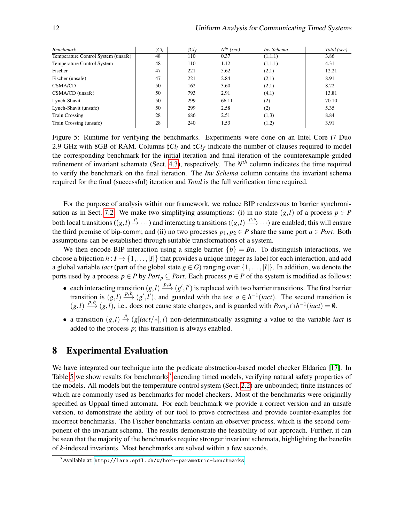| <b>Benchmark</b>                    | $\sharp$ Cl <sub>i</sub> | $\sharp Cl_{f}$ | $N^{th}$ (sec) | Inv Schema | Total (sec) |
|-------------------------------------|--------------------------|-----------------|----------------|------------|-------------|
| Temperature Control System (unsafe) | 48                       | 110             | 0.37           | (1,1,1)    | 3.86        |
| <b>Temperature Control System</b>   | 48                       | 110             | 1.12           | (1,1,1)    | 4.31        |
| Fischer                             | 47                       | 221             | 5.62           | (2,1)      | 12.21       |
| Fischer (unsafe)                    | 47                       | 221             | 2.84           | (2,1)      | 8.91        |
| <b>CSMA/CD</b>                      | 50                       | 162             | 3.60           | (2,1)      | 8.22        |
| CSMA/CD (unsafe)                    | 50                       | 793             | 2.91           | (4,1)      | 13.81       |
| Lynch-Shavit                        | 50                       | 299             | 66.11          | (2)        | 70.10       |
| Lynch-Shavit (unsafe)               | 50                       | 299             | 2.58           | (2)        | 5.35        |
| <b>Train Crossing</b>               | 28                       | 686             | 2.51           | (1,3)      | 8.84        |
| Train Crossing (unsafe)             | 28                       | 240             | 1.53           | (1,2)      | 3.91        |

<span id="page-11-0"></span>Figure 5: Runtime for verifying the benchmarks. Experiments were done on an Intel Core i7 Duo 2.9 GHz with 8GB of RAM. Columns  $\sharp Cl_i$  and  $\sharp Cl_f$  indicate the number of clauses required to model the corresponding benchmark for the initial iteration and final iteration of the counterexample-guided refinement of invariant schemata (Sect. [4.3\)](#page-6-3), respectively. The *N th* column indicates the time required to verify the benchmark on the final iteration. The *Inv Schema* column contains the invariant schema required for the final (successful) iteration and *Total* is the full verification time required.

For the purpose of analysis within our framework, we reduce BIP rendezvous to barrier synchroni-sation as in Sect. [7.2.](#page-10-1) We make two simplifying assumptions: (i) in no state  $(g, l)$  of a process  $p \in P$ both local transitions ( $(g, l) \stackrel{p}{\to} \cdots$ ) and interacting transitions ( $(g, l) \stackrel{p, a}{\to} \cdots$ ) are enabled; this will ensure the third premise of bip-comm; and (ii) no two processes  $p_1, p_2 \in P$  share the same port  $a \in Port$ . Both assumptions can be established through suitable transformations of a system.

We then encode BIP interaction using a single barrier  ${b} = Ba$ . To distinguish interactions, we choose a bijection  $h: I \to \{1, \ldots, |I|\}$  that provides a unique integer as label for each interaction, and add a global variable *iact* (part of the global state  $g \in G$ ) ranging over  $\{1, \ldots, |I|\}$ . In addition, we denote the ports used by a process  $p \in P$  by *Port*<sub>p</sub>  $\subseteq$  *Port*. Each process  $p \in P$  of the system is modified as follows:

- each interacting transition  $(g, l) \xrightarrow{p, a} (g', l')$  is replaced with two barrier transitions. The first barrier transition is  $(g, l) \xrightarrow{p, b} (g', l')$ , and guarded with the test  $a \in h^{-1}(iact)$ . The second transition is  $(g, l) \xrightarrow{p, b} (g, l)$ , i.e., does not cause state changes, and is guarded with *Port*<sub>*p*</sub> ∩ *h*<sup>-1</sup>(*iact*) = 0.
- a transition  $(g, l) \stackrel{p}{\to} (g[iact/*l], l)$  non-deterministically assigning a value to the variable *iact* is added to the process *p*; this transition is always enabled.

# 8 Experimental Evaluation

We have integrated our technique into the predicate abstraction-based model checker Eldarica [\[17\]](#page-12-6). In Table [5](#page-11-0) we show results for benchmarks<sup>[3](#page-11-1)</sup> encoding timed models, verifying natural safety properties of the models. All models but the temperature control system (Sect. [2.2\)](#page-2-2) are unbounded; finite instances of which are commonly used as benchmarks for model checkers. Most of the benchmarks were originally specified as Uppaal timed automata. For each benchmark we provide a correct version and an unsafe version, to demonstrate the ability of our tool to prove correctness and provide counter-examples for incorrect benchmarks. The Fischer benchmarks contain an observer process, which is the second component of the invariant schema. The results demonstrate the feasibility of our approach. Further, it can be seen that the majority of the benchmarks require stronger invariant schemata, highlighting the benefits of *k*-indexed invariants. Most benchmarks are solved within a few seconds.

<span id="page-11-1"></span><sup>3</sup>Available at: <http://lara.epfl.ch/w/horn-parametric-benchmarks>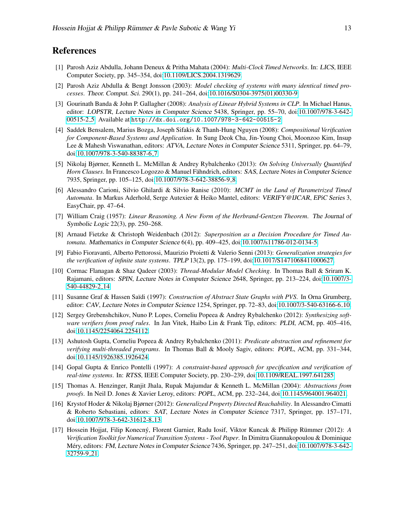# References

- <span id="page-12-15"></span>[1] Parosh Aziz Abdulla, Johann Deneux & Pritha Mahata (2004): *Multi-Clock Timed Networks*. In: LICS, IEEE Computer Society, pp. 345–354, doi[:10.1109/LICS.2004.1319629.](http://dx.doi.org/10.1109/LICS.2004.1319629)
- <span id="page-12-14"></span>[2] Parosh Aziz Abdulla & Bengt Jonsson (2003): *Model checking of systems with many identical timed processes*. Theor. Comput. Sci. 290(1), pp. 241–264, doi[:10.1016/S0304-3975\(01\)00330-9.](http://dx.doi.org/10.1016/S0304-3975(01)00330-9)
- <span id="page-12-11"></span>[3] Gourinath Banda & John P. Gallagher (2008): *Analysis of Linear Hybrid Systems in CLP*. In Michael Hanus, editor: LOPSTR, Lecture Notes in Computer Science 5438, Springer, pp. 55–70, doi[:10.1007/978-3-642-](http://dx.doi.org/10.1007/978-3-642-00515-2_5) [00515-2](http://dx.doi.org/10.1007/978-3-642-00515-2_5) 5. Available at <http://dx.doi.org/10.1007/978-3-642-00515-2>.
- <span id="page-12-7"></span>[4] Saddek Bensalem, Marius Bozga, Joseph Sifakis & Thanh-Hung Nguyen (2008): *Compositional Verification for Component-Based Systems and Application*. In Sung Deok Cha, Jin-Young Choi, Moonzoo Kim, Insup Lee & Mahesh Viswanathan, editors: ATVA, Lecture Notes in Computer Science 5311, Springer, pp. 64–79, doi[:10.1007/978-3-540-88387-6](http://dx.doi.org/10.1007/978-3-540-88387-6_7) 7.
- <span id="page-12-8"></span>[5] Nikolaj Bjørner, Kenneth L. McMillan & Andrey Rybalchenko (2013): *On Solving Universally Quantified Horn Clauses*. In Francesco Logozzo & Manuel Fähndrich, editors: SAS, Lecture Notes in Computer Science 7935, Springer, pp. 105–125, doi[:10.1007/978-3-642-38856-9](http://dx.doi.org/10.1007/978-3-642-38856-9_8) 8.
- <span id="page-12-16"></span>[6] Alessandro Carioni, Silvio Ghilardi & Silvio Ranise (2010): *MCMT in the Land of Parametrized Timed Automata*. In Markus Aderhold, Serge Autexier & Heiko Mantel, editors: VERIFY@IJCAR, EPiC Series 3, EasyChair, pp. 47–64.
- <span id="page-12-2"></span>[7] William Craig (1957): *Linear Reasoning. A New Form of the Herbrand-Gentzen Theorem*. The Journal of Symbolic Logic 22(3), pp. 250–268.
- <span id="page-12-9"></span>[8] Arnaud Fietzke & Christoph Weidenbach (2012): *Superposition as a Decision Procedure for Timed Automata*. Mathematics in Computer Science 6(4), pp. 409–425, doi[:10.1007/s11786-012-0134-5.](http://dx.doi.org/10.1007/s11786-012-0134-5)
- <span id="page-12-12"></span>[9] Fabio Fioravanti, Alberto Pettorossi, Maurizio Proietti & Valerio Senni (2013): *Generalization strategies for the verification of infinite state systems*. TPLP 13(2), pp. 175–199, doi[:10.1017/S1471068411000627.](http://dx.doi.org/10.1017/S1471068411000627)
- <span id="page-12-13"></span>[10] Cormac Flanagan & Shaz Qadeer (2003): *Thread-Modular Model Checking*. In Thomas Ball & Sriram K. Rajamani, editors: SPIN, Lecture Notes in Computer Science 2648, Springer, pp. 213–224, doi[:10.1007/3-](http://dx.doi.org/10.1007/3-540-44829-2_14) [540-44829-2](http://dx.doi.org/10.1007/3-540-44829-2_14) 14.
- <span id="page-12-0"></span>[11] Susanne Graf & Hassen Saïdi (1997): *Construction of Abstract State Graphs with PVS*. In Orna Grumberg, editor: CAV, Lecture Notes in Computer Science 1254, Springer, pp. 72–83, doi[:10.1007/3-540-63166-6](http://dx.doi.org/10.1007/3-540-63166-6_10).10.
- <span id="page-12-5"></span>[12] Sergey Grebenshchikov, Nuno P. Lopes, Corneliu Popeea & Andrey Rybalchenko (2012): *Synthesizing software verifiers from proof rules*. In Jan Vitek, Haibo Lin & Frank Tip, editors: PLDI, ACM, pp. 405–416, doi[:10.1145/2254064.2254112.](http://dx.doi.org/10.1145/2254064.2254112)
- <span id="page-12-3"></span>[13] Ashutosh Gupta, Corneliu Popeea & Andrey Rybalchenko (2011): *Predicate abstraction and refinement for verifying multi-threaded programs*. In Thomas Ball & Mooly Sagiv, editors: POPL, ACM, pp. 331–344, doi[:10.1145/1926385.1926424.](http://dx.doi.org/10.1145/1926385.1926424)
- <span id="page-12-10"></span>[14] Gopal Gupta & Enrico Pontelli (1997): *A constraint-based approach for specification and verification of real-time systems*. In: RTSS, IEEE Computer Society, pp. 230–239, doi[:10.1109/REAL.1997.641285.](http://dx.doi.org/10.1109/REAL.1997.641285)
- <span id="page-12-1"></span>[15] Thomas A. Henzinger, Ranjit Jhala, Rupak Majumdar & Kenneth L. McMillan (2004): *Abstractions from proofs*. In Neil D. Jones & Xavier Leroy, editors: POPL, ACM, pp. 232–244, doi[:10.1145/964001.964021.](http://dx.doi.org/10.1145/964001.964021)
- <span id="page-12-4"></span>[16] Krystof Hoder & Nikolaj Bjørner (2012): *Generalized Property Directed Reachability*. In Alessandro Cimatti & Roberto Sebastiani, editors: SAT, Lecture Notes in Computer Science 7317, Springer, pp. 157–171, doi[:10.1007/978-3-642-31612-8](http://dx.doi.org/10.1007/978-3-642-31612-8_13) 13.
- <span id="page-12-6"></span>[17] Hossein Hojjat, Filip Konecný, Florent Garnier, Radu Iosif, Viktor Kuncak & Philipp Rümmer (2012): *A Verification Toolkit for Numerical Transition Systems - Tool Paper*. In Dimitra Giannakopoulou & Dominique Méry, editors: FM, Lecture Notes in Computer Science 7436, Springer, pp. 247–251, doi[:10.1007/978-3-642-](http://dx.doi.org/10.1007/978-3-642-32759-9_21) [32759-9](http://dx.doi.org/10.1007/978-3-642-32759-9_21) 21.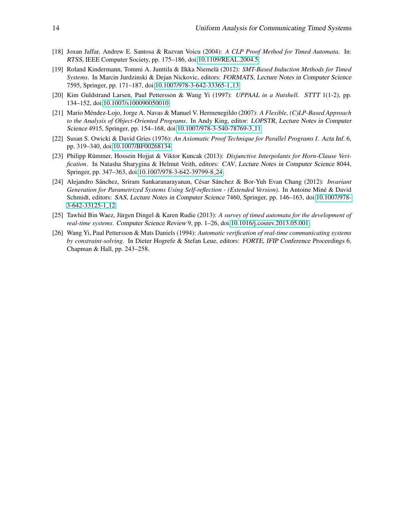- <span id="page-13-3"></span>[18] Joxan Jaffar, Andrew E. Santosa & Razvan Voicu (2004): *A CLP Proof Method for Timed Automata*. In: RTSS, IEEE Computer Society, pp. 175–186, doi[:10.1109/REAL.2004.5.](http://dx.doi.org/10.1109/REAL.2004.5)
- <span id="page-13-5"></span>[19] Roland Kindermann, Tommi A. Junttila & Ilkka Niemela (2012): ¨ *SMT-Based Induction Methods for Timed Systems*. In Marcin Jurdzinski & Dejan Nickovic, editors: FORMATS, Lecture Notes in Computer Science 7595, Springer, pp. 171–187, doi[:10.1007/978-3-642-33365-1](http://dx.doi.org/10.1007/978-3-642-33365-1_13) 13.
- <span id="page-13-0"></span>[20] Kim Guldstrand Larsen, Paul Pettersson & Wang Yi (1997): *UPPAAL in a Nutshell*. STTT 1(1-2), pp. 134–152, doi[:10.1007/s100090050010.](http://dx.doi.org/10.1007/s100090050010)
- <span id="page-13-1"></span>[21] Mario Méndez-Lojo, Jorge A. Navas & Manuel V. Hermenegildo (2007): A Flexible, (C)LP-Based Approach *to the Analysis of Object-Oriented Programs*. In Andy King, editor: LOPSTR, Lecture Notes in Computer Science 4915, Springer, pp. 154–168, doi[:10.1007/978-3-540-78769-3](http://dx.doi.org/10.1007/978-3-540-78769-3_11) 11.
- <span id="page-13-8"></span>[22] Susan S. Owicki & David Gries (1976): *An Axiomatic Proof Technique for Parallel Programs I*. Acta Inf. 6, pp. 319–340, doi[:10.1007/BF00268134.](http://dx.doi.org/10.1007/BF00268134)
- <span id="page-13-7"></span>[23] Philipp Rümmer, Hossein Hojjat & Viktor Kuncak (2013): *Disjunctive Interpolants for Horn-Clause Verification*. In Natasha Sharygina & Helmut Veith, editors: CAV, Lecture Notes in Computer Science 8044, Springer, pp. 347–363, doi[:10.1007/978-3-642-39799-8](http://dx.doi.org/10.1007/978-3-642-39799-8_24) 24.
- <span id="page-13-4"></span>[24] Alejandro Sánchez, Sriram Sankaranarayanan, César Sánchez & Bor-Yuh Evan Chang (2012): *Invariant Generation for Parametrized Systems Using Self-reflection - (Extended Version)*. In Antoine Miné & David Schmidt, editors: SAS, Lecture Notes in Computer Science 7460, Springer, pp. 146–163, doi[:10.1007/978-](http://dx.doi.org/10.1007/978-3-642-33125-1_12) [3-642-33125-1](http://dx.doi.org/10.1007/978-3-642-33125-1_12) 12.
- <span id="page-13-2"></span>[25] Tawhid Bin Waez, Jürgen Dingel & Karen Rudie (2013): A survey of timed automata for the development of *real-time systems*. Computer Science Review 9, pp. 1–26, doi[:10.1016/j.cosrev.2013.05.001.](http://dx.doi.org/10.1016/j.cosrev.2013.05.001)
- <span id="page-13-6"></span>[26] Wang Yi, Paul Pettersson & Mats Daniels (1994): *Automatic verification of real-time communicating systems by constraint-solving*. In Dieter Hogrefe & Stefan Leue, editors: FORTE, IFIP Conference Proceedings 6, Chapman & Hall, pp. 243–258.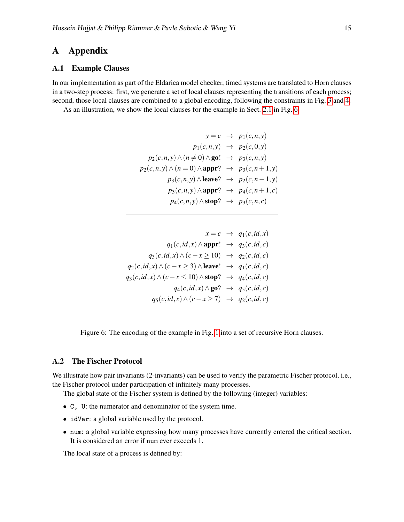# A Appendix

#### A.1 Example Clauses

In our implementation as part of the Eldarica model checker, timed systems are translated to Horn clauses in a two-step process: first, we generate a set of local clauses representing the transitions of each process; second, those local clauses are combined to a global encoding, following the constraints in Fig. [3](#page-5-1) and [4.](#page-7-2)

As an illustration, we show the local clauses for the example in Sect. [2.1](#page-1-0) in Fig. [6.](#page-14-0)

$$
y = c \rightarrow p_1(c, n, y)
$$
  
\n
$$
p_1(c, n, y) \rightarrow p_2(c, 0, y)
$$
  
\n
$$
p_2(c, n, y) \land (n \neq 0) \land \text{go!} \rightarrow p_3(c, n, y)
$$
  
\n
$$
p_2(c, n, y) \land (n = 0) \land \text{appr?} \rightarrow p_3(c, n + 1, y)
$$
  
\n
$$
p_3(c, n, y) \land \text{leave?} \rightarrow p_2(c, n - 1, y)
$$
  
\n
$$
p_3(c, n, y) \land \text{appr?} \rightarrow p_4(c, n + 1, c)
$$
  
\n
$$
p_4(c, n, y) \land \text{stop?} \rightarrow p_3(c, n, c)
$$

$$
x = c \rightarrow q_1(c, id, x)
$$
  
\n
$$
q_1(c, id, x) \land \text{appr!} \rightarrow q_3(c, id, c)
$$
  
\n
$$
q_3(c, id, x) \land (c - x \ge 10) \rightarrow q_2(c, id, c)
$$
  
\n
$$
q_2(c, id, x) \land (c - x \ge 3) \land \text{leave!} \rightarrow q_1(c, id, c)
$$
  
\n
$$
q_3(c, id, x) \land (c - x \le 10) \land \text{stop?} \rightarrow q_4(c, id, c)
$$
  
\n
$$
q_4(c, id, x) \land g_0 \rightarrow q_5(c, id, c)
$$
  
\n
$$
q_5(c, id, x) \land (c - x \ge 7) \rightarrow q_2(c, id, c)
$$

<span id="page-14-0"></span>Figure 6: The encoding of the example in Fig. [1](#page-2-0) into a set of recursive Horn clauses.

### A.2 The Fischer Protocol

We illustrate how pair invariants (2-invariants) can be used to verify the parametric Fischer protocol, i.e., the Fischer protocol under participation of infinitely many processes.

The global state of the Fischer system is defined by the following (integer) variables:

- C, U: the numerator and denominator of the system time.
- idVar: a global variable used by the protocol.
- num: a global variable expressing how many processes have currently entered the critical section. It is considered an error if num ever exceeds 1.

The local state of a process is defined by: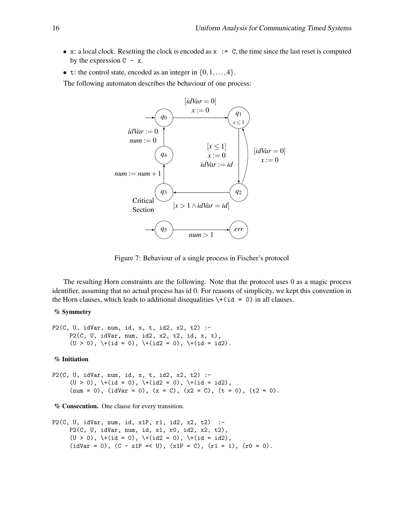- x: a local clock. Resetting the clock is encoded as  $x := C$ , the time since the last reset is computed by the expression  $C - x$ .
- t: the control state, encoded as an integer in  $\{0, 1, \ldots, 4\}$ .

The following automaton describes the behaviour of one process:



Figure 7: Behaviour of a single process in Fischer's protocol

The resulting Horn constraints are the following. Note that the protocol uses 0 as a magic process identifier, assuming that no actual process has id 0. For reasons of simplicity, we kept this convention in the Horn clauses, which leads to additional disequalities  $\forall$  + (id = 0) in all clauses.

#### % Symmetry

```
P2(C, U, idVar, num, id, x, t, id2, x2, t2) :-
     P2(C, U, idVar, num, id2, x2, t2, id, x, t),
     (U > 0), \vdash (id = 0), \vdash (id2 = 0), \vdash (id = id2).
```
#### % Initiation

P2(C, U, idVar, num, id, x, t, id2, x2, t2) :-  $(U > 0)$ ,  $\{(U > 0)$ ,  $\{(U > 0)$ ,  $\{(U > 0)$ ,  $\{(U > 0)$ ,  $\{(U > 0)$ (num = 0), (idVar = 0), (x = C), (x2 = C), (t = 0), (t2 = 0).

% Consecution. One clause for every transition.

```
P2(C, U, idVar, num, id, x1P, r1, id2, x2, t2) :-
     P2(C, U, idVar, num, id, x1, r0, id2, x2, t2),
     (U > 0), \cdot (id = 0), \cdot (id2 = 0), \cdot (id = id2),
     (idVar = 0), (C - x1P \le U), (x1P = C), (r1 = 1), (r0 = 0).
```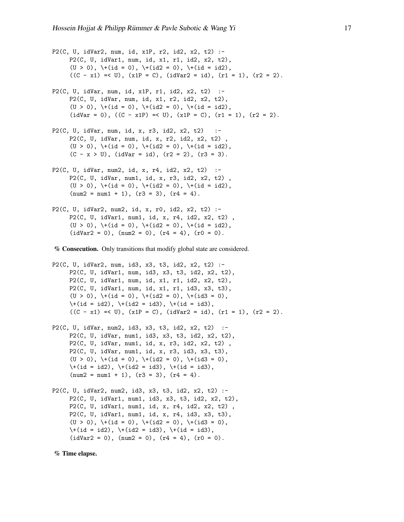P2(C, U, idVar2, num, id, x1P, r2, id2, x2, t2) :- P2(C, U, idVar1, num, id, x1, r1, id2, x2, t2),  $(U > 0)$ ,  $\{(i \in 0), \{(i \in 2 = 0), \{(i \in 1 \text{ odd})\},\{(i \in 3 \text{ odd})\},\{(i \in 4 \text{ odd})\},\{(i \in 4 \text{ odd})\}$  $((C - x1) = < U), (x1P = C), (idVar2 = id), (r1 = 1), (r2 = 2).$ P2(C, U, idVar, num, id, x1P, r1, id2, x2, t2) :- P2(C, U, idVar, num, id, x1, r2, id2, x2, t2), (U > 0),  $\setminus$  (id = 0),  $\setminus$  (id2 = 0),  $\setminus$  (id = id2),  $(idVar = 0)$ ,  $((C - x1P) = < U)$ ,  $(x1P = C)$ ,  $(r1 = 1)$ ,  $(r2 = 2)$ . P2(C, U, idVar, num, id, x, r3, id2, x2, t2) :- P2(C, U, idVar, num, id, x, r2, id2, x2, t2) ,  $(U > 0)$ ,  $\setminus$ +(id = 0),  $\setminus$ +(id2 = 0),  $\setminus$ +(id = id2),  $(C - x > U)$ ,  $(idVar = id)$ ,  $(r2 = 2)$ ,  $(r3 = 3)$ . P2(C, U, idVar, num2, id, x, r4, id2, x2, t2) :- P2(C, U, idVar, num1, id, x, r3, id2, x2, t2) ,  $(U > 0)$ ,  $\text{+}(id = 0)$ ,  $\text{+}(id2 = 0)$ ,  $\text{+}(id = id2)$ ,  $(num2 = num1 + 1), (r3 = 3), (r4 = 4).$ P2(C, U, idVar2, num2, id, x, r0, id2, x2, t2) :- P2(C, U, idVar1, num1, id, x, r4, id2, x2, t2) ,  $(U > 0)$ ,  $\cdot$  (id = 0),  $\cdot$  (id2 = 0),  $\cdot$  (id = id2),  $(idVar2 = 0)$ ,  $(num2 = 0)$ ,  $(r4 = 4)$ ,  $(r0 = 0)$ . % Consecution. Only transitions that modify global state are considered. P2(C, U, idVar2, num, id3, x3, t3, id2, x2, t2) :- P2(C, U, idVar1, num, id3, x3, t3, id2, x2, t2), P2(C, U, idVar1, num, id, x1, r1, id2, x2, t2), P2(C, U, idVar1, num, id, x1, r1, id3, x3, t3),  $(U > 0)$ ,  $\{(id = 0), \{(id2 = 0), \{(id3 = 0),\}$  $\iota$  (id = id2),  $\iota$  (id2 = id3),  $\iota$  (id = id3),  $((C - x1) = < U), (x1P = C), (idVar2 = id), (r1 = 1), (r2 = 2).$ P2(C, U, idVar, num2, id3, x3, t3, id2, x2, t2) :- P2(C, U, idVar, num1, id3, x3, t3, id2, x2, t2), P2(C, U, idVar, num1, id, x, r3, id2, x2, t2) , P2(C, U, idVar, num1, id, x, r3, id3, x3, t3),  $(U > 0)$ ,  $\+(id = 0)$ ,  $\+(id2 = 0)$ ,  $\+(id3 = 0)$ ,

P2(C, U, idVar2, num2, id3, x3, t3, id2, x2, t2) :- P2(C, U, idVar1, num1, id3, x3, t3, id2, x2, t2), P2(C, U, idVar1, num1, id, x, r4, id2, x2, t2) , P2(C, U, idVar1, num1, id, x, r4, id3, x3, t3),  $(U > 0)$ ,  $\{(U > 0)$ ,  $\{(id = 0)$ ,  $\{(id2 = 0)$ ,  $\{(id3 = 0)$ ,  $\iota$  (id = id2),  $\iota$  (id2 = id3),  $\iota$  (id = id3),  $(idVar2 = 0)$ ,  $(num2 = 0)$ ,  $(r4 = 4)$ ,  $(r0 = 0)$ .

 $\iota$  (id = id2),  $\iota$  (id2 = id3),  $\iota$  (id = id3),  $(num2 = num1 + 1), (r3 = 3), (r4 = 4).$ 

#### % Time elapse.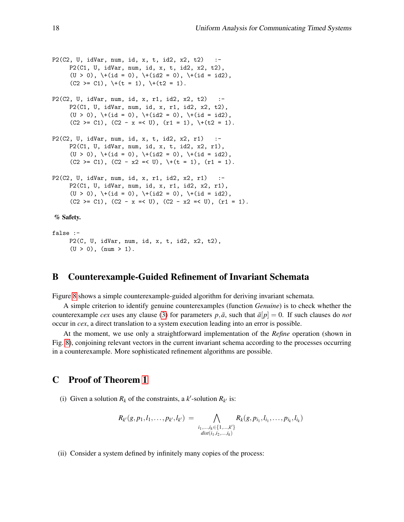```
P2(C2, U, idVar, num, id, x, t, id2, x2, t2) :-
     P2(C1, U, idVar, num, id, x, t, id2, x2, t2),
     (U > 0), \{(id = 0), \{(id2 = 0), \{(id = id2), \}(C2 \ge C1), \ \ (t = 1), \ \ (t2 = 1).P2(C2, U, idVar, num, id, x, r1, id2, x2, t2) :-
     P2(C1, U, idVar, num, id, x, r1, id2, x2, t2),
     (U > 0), \{(id = 0), \{(id2 = 0), \{(id = id2),(C2 \ge C1), (C2 - x \le U), (r1 = 1), \forall+(t2 = 1).
P2(C2, U, idVar, num, id, x, t, id2, x2, r1)
     P2(C1, U, idVar, num, id, x, t, id2, x2, r1),
     (U > 0), \text{+}(id = 0), \text{+}(id2 = 0), \text{+}(id = id2),
     (C2 \ge C1), (C2 - x2 \le U), \forall + (t = 1), (r1 = 1).
P2(C2, U, idVar, num, id, x, r1, id2, x2, r1) :-
     P2(C1, U, idVar, num, id, x, r1, id2, x2, r1),
     (U > 0), \vdash (id = 0), \vdash (id2 = 0), \vdash (id = id2),
     (C2 \geq C1), (C2 - x \leq U), (C2 - x2 \leq U), (r1 = 1).
% Safety.
false :-
     P2(C, U, idVar, num, id, x, t, id2, x2, t2),
```
### B Counterexample-Guided Refinement of Invariant Schemata

Figure [8](#page-19-0) shows a simple counterexample-guided algorithm for deriving invariant schemata.

A simple criterion to identify genuine counterexamples (function *Genuine*) is to check whether the counterexample *cex* uses any clause [\(3\)](#page-5-2) for parameters  $p, \bar{a}$ , such that  $\bar{a}[p] = 0$ . If such clauses do *not* occur in *cex*, a direct translation to a system execution leading into an error is possible.

At the moment, we use only a straightforward implementation of the *Refine* operation (shown in Fig. [8\)](#page-19-0), conjoining relevant vectors in the current invariant schema according to the processes occurring in a counterexample. More sophisticated refinement algorithms are possible.

# C Proof of Theorem [1](#page-7-7)

 $(U > 0)$ ,  $(num > 1)$ .

(i) Given a solution  $R_k$  of the constraints, a  $k'$ -solution  $R_{k'}$  is:

$$
R_{k'}(g, p_1, l_1, \ldots, p_{k'}, l_{k'}) = \bigwedge_{\substack{i_1, \ldots, i_k \in \{1, \ldots, k'\} \\ dist(i_1, i_2, \ldots, i_k)}} R_k(g, p_{i_1}, l_{i_1}, \ldots, p_{i_k}, l_{i_k})
$$

(ii) Consider a system defined by infinitely many copies of the process: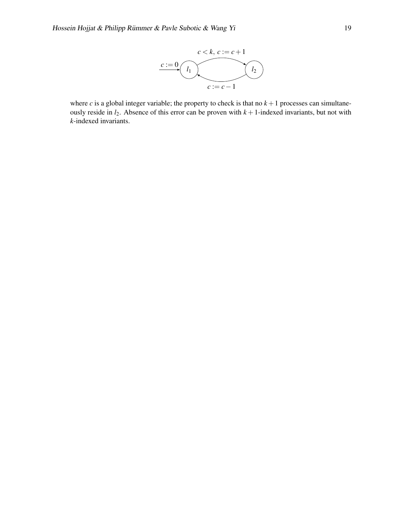

where  $c$  is a global integer variable; the property to check is that no  $k+1$  processes can simultaneously reside in  $l_2$ . Absence of this error can be proven with  $k + 1$ -indexed invariants, but not with *k*-indexed invariants.